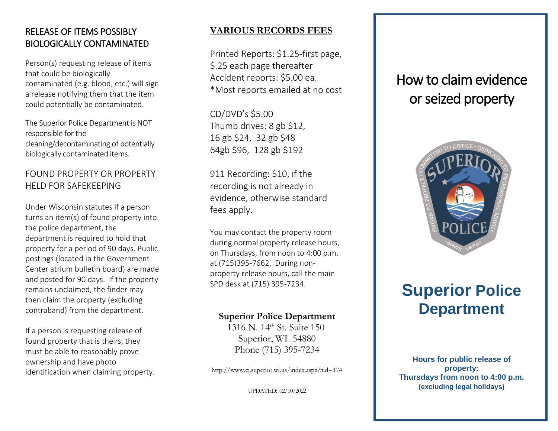## RELEASE OF ITEMS POSSIBLY BIOLOGICALLY CONTAMINATED

Person(s) requesting release of items that could be biologically contaminated (e.g. blood, etc.) will sign a release notifying them that the item could potentially be contaminated.

The Superior Police Department is NOT responsible for the cleaning/decontaminating of potentially biologically contaminated items.

## FOUND PROPERTY OR PROPERTY HELD FOR SAFEKEEPING

Under Wisconsin statutes if a person turns an item(s) of found property into the police department, the department is required to hold that property for a period of 90 days. Public posting s (located in the Government Center atrium bulletin board) are made and posted for 90 days. If the property remains unclaimed, the finder may then claim the property (excluding contraband) from the department.

If a person is requesting release of found property that is theirs, they must be able to reasonably prove ownership and have photo identification when claiming property.

## **VARIOUS RECORDS FEES**

Printed Reports: \$1.25 -first page, \$.25 each page thereafter Accident reports: \$5.00 ea. \*Most reports emailed at no cost

CD/DVD's \$5.00 Thumb drives: 8 gb \$12, 16 gb \$24, 32 gb \$48 64gb \$96, 128 gb \$192

911 Recording: \$10, if the recording is not already in evidence, otherwise standard fees apply.

You may contact the property room during normal property release hours, on Thursdays, from noon to 4:00 p.m. at (715)395 -7662. During non property release hours, call the main SPD desk at (715) 395 -7234.

## **Superior Police Department**

 1316 N. 14th St. Suite 150 Superior, WI 54880 Phone (715) 395 -7234

<http://www.ci.superior.wi.us/index.aspx?nid=174>

UPDATED: 02/10/2022

## How to claim evidence or seized property



# **Superior Police Department**

**Hours for public release of property: Thursdays from noon to 4:00 p.m. (excluding legal holidays)**